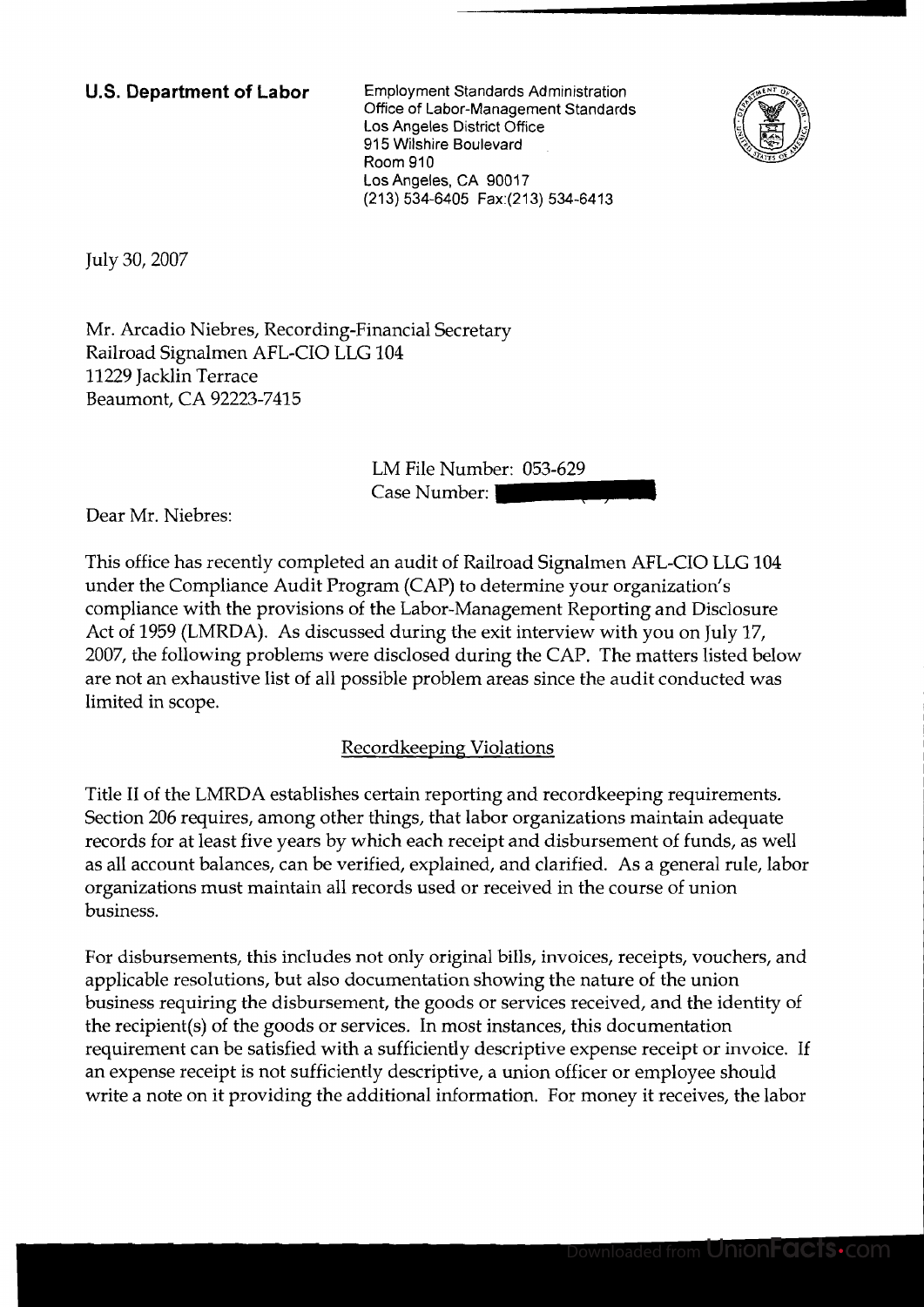**U.S. Department of Labor** Employment Standards Administration Office of Labor-Management Standards Los Angeles District Office 915 Wilshire Boulevard Room 910 Los Angeles, CA 90017 (21 3) 534-6405 Fax:(213) 534-6413



July 30,2007

Mr. Arcadio Niebres, Recording-Financial Secretary Railroad Signalmen AFL-CIO LLG 104 11229 Jacklin Terrace Beaumont, CA 92223-7415

> LM File Number: 053-629 Case Number:

Dear Mr. Niebres:

This office has recently completed an audit of Railroad Signalmen AFL-CIO LLG 104 under the Compliance Audit Program (CAP) to determine your organization's compliance with the provisions of the Labor-Management Reporting and Disclosure Act of 1959 (LMRDA). As discussed during the exit interview with you on July 17, 2007, the following problems were disclosed during the CAP. The matters listed below are not an exhaustive list of all possible problem areas since the audit conducted was limited in scope.

## Recordkeeping Violations

Title I1 of the LMRDA establishes certain reporting and recordkeeping requirements. Section 206 requires, among other things, that labor organizations maintain adequate records for at least five years by which each receipt and disbursement of funds, as well as all account balances, can be verified, explained, and clarified. As a general rule, labor organizations must maintain all records used or received in the course of union business.

For disbursements, this includes not only original bills, invoices, receipts, vouchers, and applicable resolutions, but also documentation showing the nature of the union business requiring the disbursement, the goods or services received, and the identity of the recipient(s) of the goods or services. In most instances, this documentation requirement can be satisfied with a sufficiently descriptive expense receipt or invoice. If an expense receipt is not sufficiently descriptive, a union officer or employee should write a note on it providing the additional information. For money it receives, the labor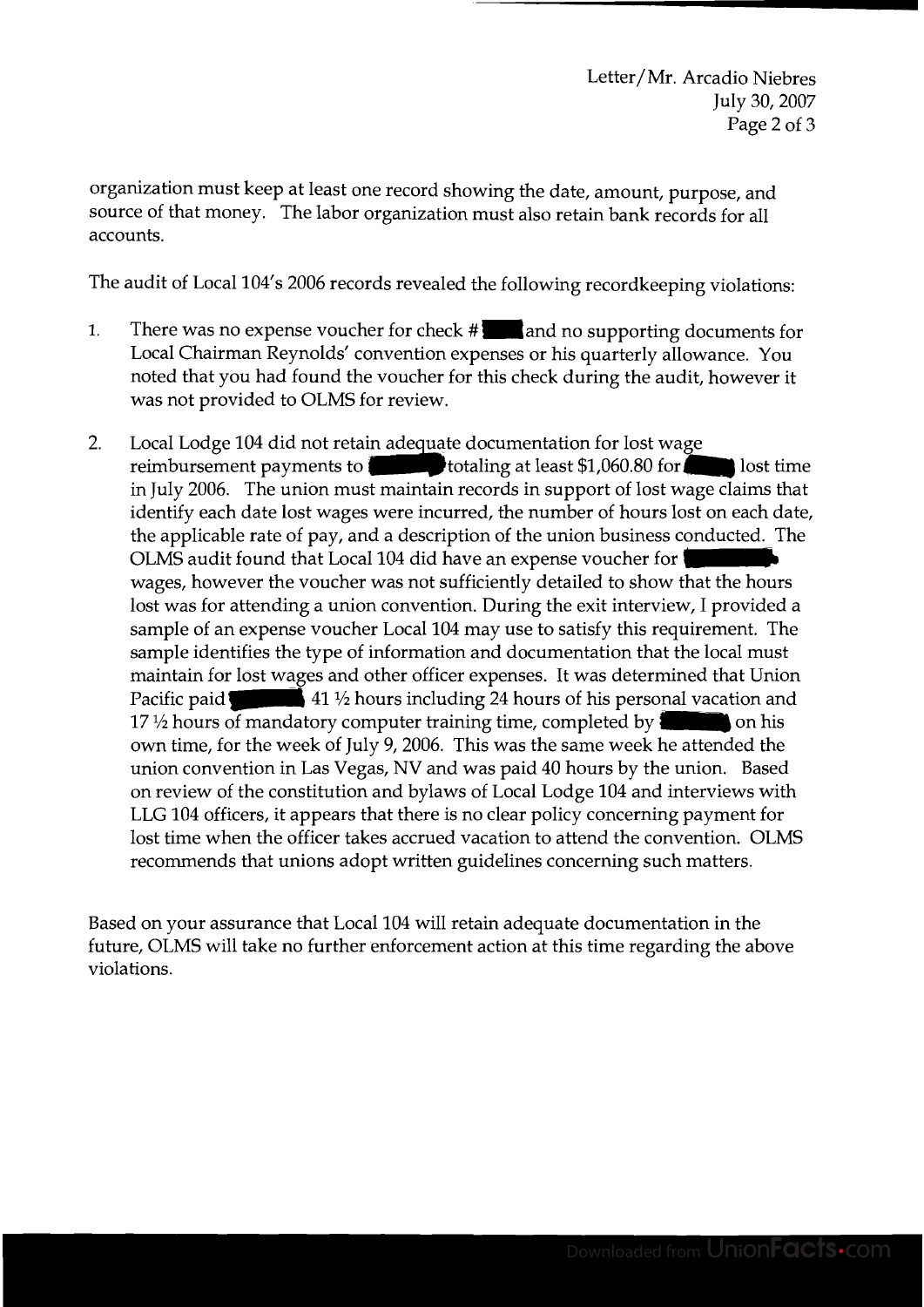organization must keep at least one record showing the date, amount, purpose, and source of that money. The labor organization must also retain bank records for all accounts.

The audit of Local 104's 2006 records revealed the following recordkeeping violations:

- 1. There was no expense voucher for check #**and no supporting documents for** Local Chairman Reynolds' convention expenses or his quarterly allowance. You noted that you had found the voucher for this check during the audit, however it was not provided to OLMS for review.
- eeping violations:<br>
ing documents for<br>
'allowance. You<br>
audit, however it<br>
wage<br>
for<br>
st wage claims that<br>
st wage claims that<br>
st sonducted. The<br>
st conducted. The<br>
for<br>
w that the hours<br>
view, I provided a<br>
requirement.  $2.$ Local Lodge 104 did not retain adequate documentation for lost wage reimbursement payments to **the state of the state of the state of the state of the state of the state of the state of the state of the state of the state of the state of the state of the state of the state of the state of** in July 2006. The union must maintain records in support of lost wage claims that identify each date lost wages were incurred, the number of hours lost on each date, The applicable rate of pay, and a description of the union business conducted. The OLMS audit found that Local 104 did have an expense voucher for wages, however the voucher was not sufficiently detailed to show that the the applicable rate of pay, and a description of the union business conducted. The OLMS audit found that Local 104 did have an expense voucher . wages, however the voucher was not sufficiently detailed to show that the hours lost was for attending a union convention. During the exit interview, I provided a sample of an expense voucher Local 104 may use to satisfy this requirement. The sample identifies the type of information and documentation that the local must maintain for lost wages and other officer expenses. It was determined that Union Pacific paid 41<sup>1</sup>/<sub>2</sub> hours including 24 hours of his personal vacation and own time, for the week of July 9,2006. This was the same week he attended the union convention in Las Vegas, NV and was paid 40 hours by the union. Based on review of the constitution and bylaws of Local Lodge 104 and interviews with LLG 104 officers, it appears that there is no clear policy concerning payment for lost time when the officer takes accrued vacation to attend the convention. OLMS recommends that unions adopt written guidelines concerning such matters.

Based on your assurance that Local 104 will retain adequate documentation in the future, OLMS will take no further enforcement action at this time regarding the above violations.